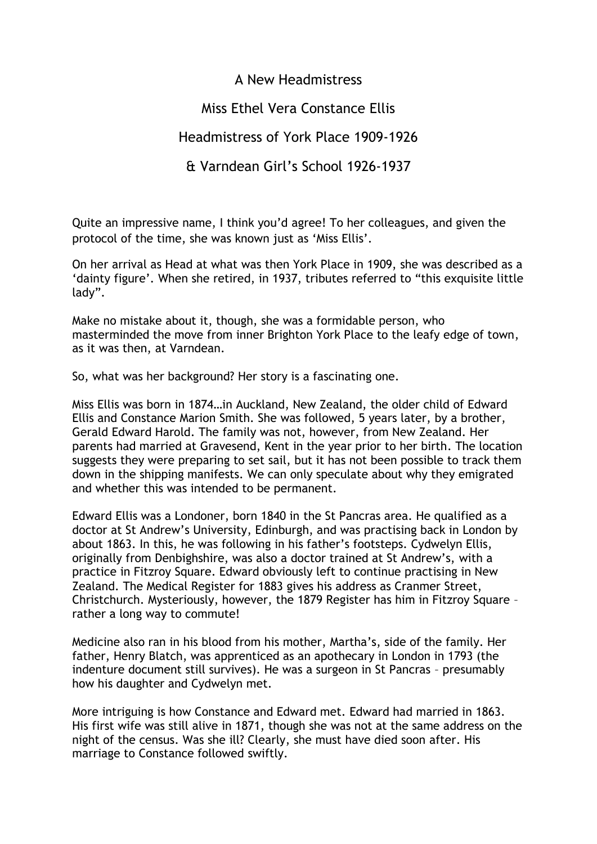A New Headmistress

Miss Ethel Vera Constance Ellis

Headmistress of York Place 1909-1926

& Varndean Girl's School 1926-1937

Quite an impressive name, I think you'd agree! To her colleagues, and given the protocol of the time, she was known just as 'Miss Ellis'.

On her arrival as Head at what was then York Place in 1909, she was described as a 'dainty figure'. When she retired, in 1937, tributes referred to "this exquisite little lady".

Make no mistake about it, though, she was a formidable person, who masterminded the move from inner Brighton York Place to the leafy edge of town, as it was then, at Varndean.

So, what was her background? Her story is a fascinating one.

Miss Ellis was born in 1874…in Auckland, New Zealand, the older child of Edward Ellis and Constance Marion Smith. She was followed, 5 years later, by a brother, Gerald Edward Harold. The family was not, however, from New Zealand. Her parents had married at Gravesend, Kent in the year prior to her birth. The location suggests they were preparing to set sail, but it has not been possible to track them down in the shipping manifests. We can only speculate about why they emigrated and whether this was intended to be permanent.

Edward Ellis was a Londoner, born 1840 in the St Pancras area. He qualified as a doctor at St Andrew's University, Edinburgh, and was practising back in London by about 1863. In this, he was following in his father's footsteps. Cydwelyn Ellis, originally from Denbighshire, was also a doctor trained at St Andrew's, with a practice in Fitzroy Square. Edward obviously left to continue practising in New Zealand. The Medical Register for 1883 gives his address as Cranmer Street, Christchurch. Mysteriously, however, the 1879 Register has him in Fitzroy Square – rather a long way to commute!

Medicine also ran in his blood from his mother, Martha's, side of the family. Her father, Henry Blatch, was apprenticed as an apothecary in London in 1793 (the indenture document still survives). He was a surgeon in St Pancras – presumably how his daughter and Cydwelyn met.

More intriguing is how Constance and Edward met. Edward had married in 1863. His first wife was still alive in 1871, though she was not at the same address on the night of the census. Was she ill? Clearly, she must have died soon after. His marriage to Constance followed swiftly.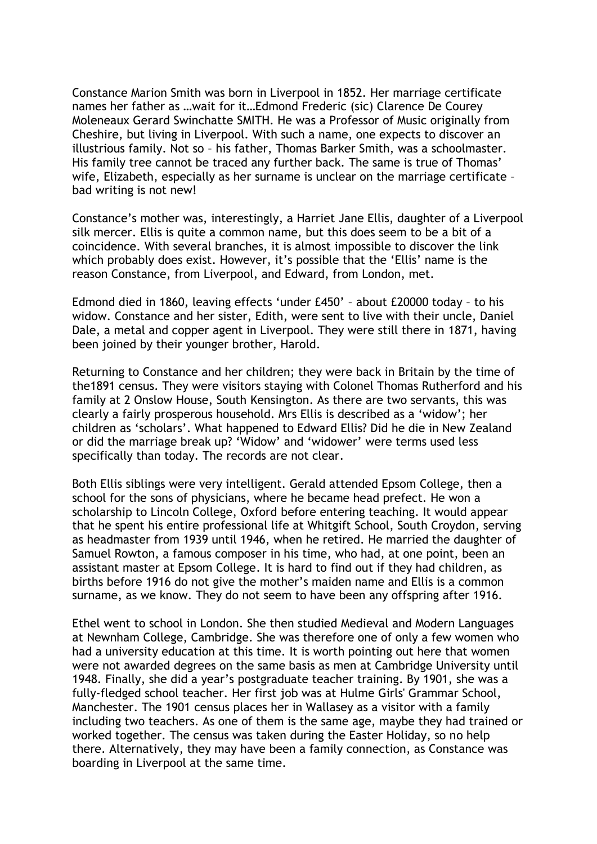Constance Marion Smith was born in Liverpool in 1852. Her marriage certificate names her father as …wait for it…Edmond Frederic (sic) Clarence De Courey Moleneaux Gerard Swinchatte SMITH. He was a Professor of Music originally from Cheshire, but living in Liverpool. With such a name, one expects to discover an illustrious family. Not so – his father, Thomas Barker Smith, was a schoolmaster. His family tree cannot be traced any further back. The same is true of Thomas' wife, Elizabeth, especially as her surname is unclear on the marriage certificate – bad writing is not new!

Constance's mother was, interestingly, a Harriet Jane Ellis, daughter of a Liverpool silk mercer. Ellis is quite a common name, but this does seem to be a bit of a coincidence. With several branches, it is almost impossible to discover the link which probably does exist. However, it's possible that the 'Ellis' name is the reason Constance, from Liverpool, and Edward, from London, met.

Edmond died in 1860, leaving effects 'under £450' – about £20000 today – to his widow. Constance and her sister, Edith, were sent to live with their uncle, Daniel Dale, a metal and copper agent in Liverpool. They were still there in 1871, having been joined by their younger brother, Harold.

Returning to Constance and her children; they were back in Britain by the time of the1891 census. They were visitors staying with Colonel Thomas Rutherford and his family at 2 Onslow House, South Kensington. As there are two servants, this was clearly a fairly prosperous household. Mrs Ellis is described as a 'widow'; her children as 'scholars'. What happened to Edward Ellis? Did he die in New Zealand or did the marriage break up? 'Widow' and 'widower' were terms used less specifically than today. The records are not clear.

Both Ellis siblings were very intelligent. Gerald attended Epsom College, then a school for the sons of physicians, where he became head prefect. He won a scholarship to Lincoln College, Oxford before entering teaching. It would appear that he spent his entire professional life at Whitgift School, South Croydon, serving as headmaster from 1939 until 1946, when he retired. He married the daughter of Samuel Rowton, a famous composer in his time, who had, at one point, been an assistant master at Epsom College. It is hard to find out if they had children, as births before 1916 do not give the mother's maiden name and Ellis is a common surname, as we know. They do not seem to have been any offspring after 1916.

Ethel went to school in London. She then studied Medieval and Modern Languages at Newnham College, Cambridge. She was therefore one of only a few women who had a university education at this time. It is worth pointing out here that women were not awarded degrees on the same basis as men at Cambridge University until 1948. Finally, she did a year's postgraduate teacher training. By 1901, she was a fully-fledged school teacher. Her first job was at Hulme Girls' Grammar School, Manchester. The 1901 census places her in Wallasey as a visitor with a family including two teachers. As one of them is the same age, maybe they had trained or worked together. The census was taken during the Easter Holiday, so no help there. Alternatively, they may have been a family connection, as Constance was boarding in Liverpool at the same time.